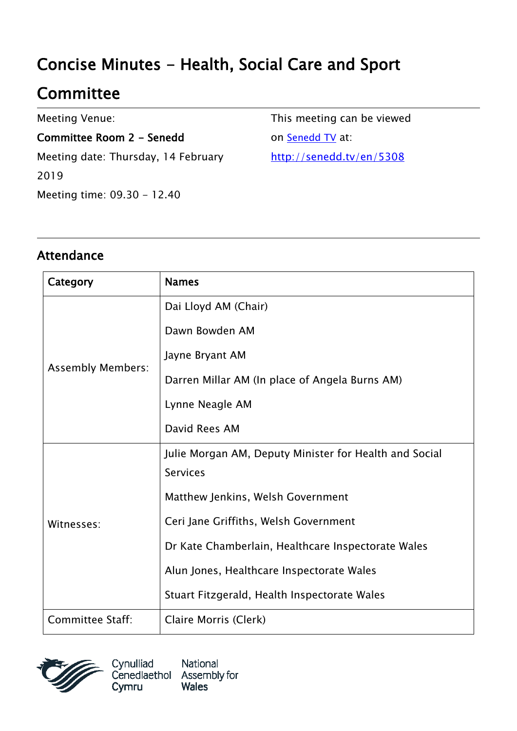# Concise Minutes - Health, Social Care and Sport

# **Committee**

Meeting Venue:

Committee Room 2 - Senedd Meeting date: Thursday, 14 February 2019 Meeting time: 09.30 - 12.40

This meeting can be viewed on [Senedd TV](http://senedd.tv/) at: http://senedd.tv/en/5308

#### Attendance

| Category                 | <b>Names</b>                                           |
|--------------------------|--------------------------------------------------------|
| <b>Assembly Members:</b> | Dai Lloyd AM (Chair)                                   |
|                          | Dawn Bowden AM                                         |
|                          | Jayne Bryant AM                                        |
|                          | Darren Millar AM (In place of Angela Burns AM)         |
|                          | Lynne Neagle AM                                        |
|                          | David Rees AM                                          |
| Witnesses:               | Julie Morgan AM, Deputy Minister for Health and Social |
|                          | <b>Services</b>                                        |
|                          | Matthew Jenkins, Welsh Government                      |
|                          | Ceri Jane Griffiths, Welsh Government                  |
|                          | Dr Kate Chamberlain, Healthcare Inspectorate Wales     |
|                          | Alun Jones, Healthcare Inspectorate Wales              |
|                          | Stuart Fitzgerald, Health Inspectorate Wales           |
| <b>Committee Staff:</b>  | Claire Morris (Clerk)                                  |



Cynulliad National Cenedlaethol Assembly for Cymru **Wales**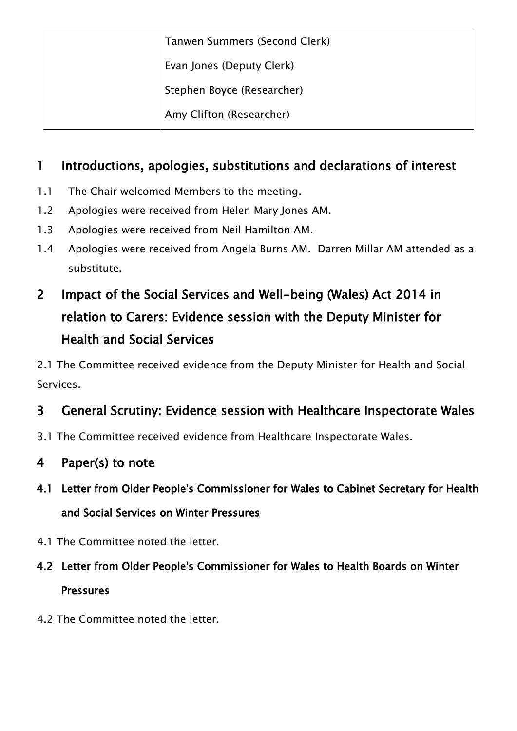| Tanwen Summers (Second Clerk) |
|-------------------------------|
| Evan Jones (Deputy Clerk)     |
| Stephen Boyce (Researcher)    |
| Amy Clifton (Researcher)      |

#### 1 Introductions, apologies, substitutions and declarations of interest

- 1.1 The Chair welcomed Members to the meeting.
- 1.2 Apologies were received from Helen Mary Jones AM.
- 1.3 Apologies were received from Neil Hamilton AM.
- 1.4 Apologies were received from Angela Burns AM. Darren Millar AM attended as a substitute.

# 2 Impact of the Social Services and Well-being (Wales) Act 2014 in relation to Carers: Evidence session with the Deputy Minister for Health and Social Services

2.1 The Committee received evidence from the Deputy Minister for Health and Social Services.

### 3 General Scrutiny: Evidence session with Healthcare Inspectorate Wales

3.1 The Committee received evidence from Healthcare Inspectorate Wales.

#### 4 Paper(s) to note

- 4.1 Letter from Older People's Commissioner for Wales to Cabinet Secretary for Health and Social Services on Winter Pressures
- 4.1 The Committee noted the letter.

# 4.2 Letter from Older People's Commissioner for Wales to Health Boards on Winter **Pressures**

4.2 The Committee noted the letter.